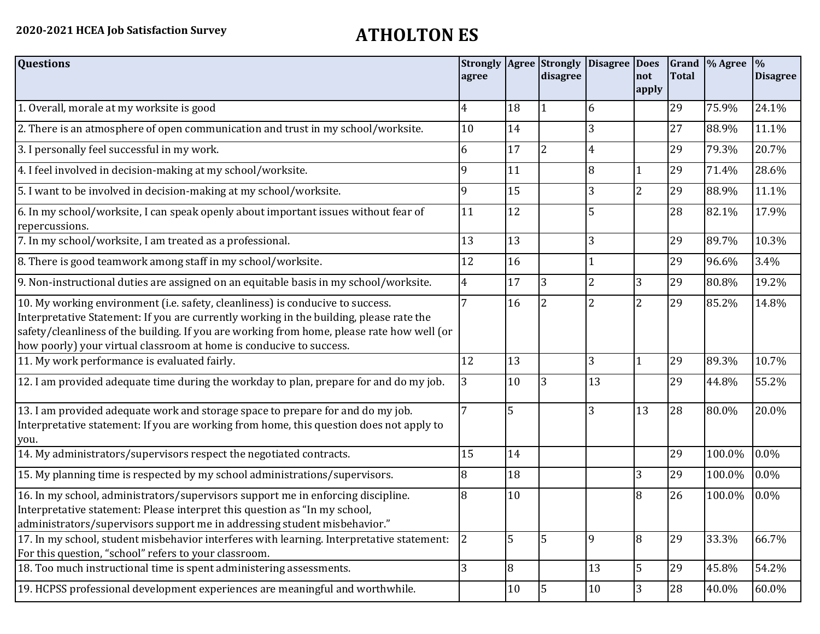| <b>Questions</b>                                                                                                                                                                                                                                                                                                                               | agree          |                | <b>Strongly Agree Strongly</b><br>disagree | <b>Disagree Does</b> | not<br>apply   | <b>Total</b> | Grand \% Agree | $\frac{0}{0}$<br><b>Disagree</b> |
|------------------------------------------------------------------------------------------------------------------------------------------------------------------------------------------------------------------------------------------------------------------------------------------------------------------------------------------------|----------------|----------------|--------------------------------------------|----------------------|----------------|--------------|----------------|----------------------------------|
| 1. Overall, morale at my worksite is good                                                                                                                                                                                                                                                                                                      | 4              | 18             | $\vert$ 1                                  | 6                    |                | 29           | 75.9%          | 24.1%                            |
| 2. There is an atmosphere of open communication and trust in my school/worksite.                                                                                                                                                                                                                                                               | 10             | 14             |                                            | 3                    |                | 27           | 88.9%          | 11.1%                            |
| 3. I personally feel successful in my work.                                                                                                                                                                                                                                                                                                    | 6              | 17             | $\overline{2}$                             | 4                    |                | 29           | 79.3%          | 20.7%                            |
| 4. I feel involved in decision-making at my school/worksite.                                                                                                                                                                                                                                                                                   | 9              | 11             |                                            | 8                    | 1              | 29           | 71.4%          | 28.6%                            |
| 5. I want to be involved in decision-making at my school/worksite.                                                                                                                                                                                                                                                                             | 9              | 15             |                                            | 3                    | $\overline{2}$ | 29           | 88.9%          | 11.1%                            |
| 6. In my school/worksite, I can speak openly about important issues without fear of<br>repercussions.                                                                                                                                                                                                                                          | 11             | 12             |                                            | 5                    |                | 28           | 82.1%          | 17.9%                            |
| 7. In my school/worksite, I am treated as a professional.                                                                                                                                                                                                                                                                                      | 13             | 13             |                                            | 3                    |                | 29           | 89.7%          | 10.3%                            |
| 8. There is good teamwork among staff in my school/worksite.                                                                                                                                                                                                                                                                                   | 12             | 16             |                                            |                      |                | 29           | 96.6%          | 3.4%                             |
| 9. Non-instructional duties are assigned on an equitable basis in my school/worksite.                                                                                                                                                                                                                                                          | 4              | 17             | 3                                          | $\overline{2}$       | 3              | 29           | 80.8%          | 19.2%                            |
| 10. My working environment (i.e. safety, cleanliness) is conducive to success.<br>Interpretative Statement: If you are currently working in the building, please rate the<br>safety/cleanliness of the building. If you are working from home, please rate how well (or<br>how poorly) your virtual classroom at home is conducive to success. | 7              | 16             | $\overline{2}$                             | $\overline{c}$       | $\overline{2}$ | 29           | 85.2%          | 14.8%                            |
| 11. My work performance is evaluated fairly.                                                                                                                                                                                                                                                                                                   | 12             | 13             |                                            | 3                    | 1              | 29           | 89.3%          | 10.7%                            |
| 12. I am provided adequate time during the workday to plan, prepare for and do my job.                                                                                                                                                                                                                                                         | 3              | 10             | $\overline{3}$                             | 13                   |                | 29           | 44.8%          | 55.2%                            |
| 13. I am provided adequate work and storage space to prepare for and do my job.<br>Interpretative statement: If you are working from home, this question does not apply to<br>you.                                                                                                                                                             |                | 5              |                                            | 3                    | 13             | 28           | 80.0%          | 20.0%                            |
| 14. My administrators/supervisors respect the negotiated contracts.                                                                                                                                                                                                                                                                            | 15             | 14             |                                            |                      |                | 29           | 100.0%         | 0.0%                             |
| 15. My planning time is respected by my school administrations/supervisors.                                                                                                                                                                                                                                                                    | 8              | 18             |                                            |                      | 3              | 29           | 100.0%         | 0.0%                             |
| 16. In my school, administrators/supervisors support me in enforcing discipline.<br>Interpretative statement: Please interpret this question as "In my school,<br>administrators/supervisors support me in addressing student misbehavior."                                                                                                    | 8              | 10             |                                            |                      | 8              | 26           | 100.0%         | 0.0%                             |
| 17. In my school, student misbehavior interferes with learning. Interpretative statement:<br>For this question, "school" refers to your classroom.                                                                                                                                                                                             | $\overline{2}$ | 5              | $\overline{5}$                             | 9                    | 8              | 29           | 33.3%          | 66.7%                            |
| 18. Too much instructional time is spent administering assessments.                                                                                                                                                                                                                                                                            | $\overline{3}$ | $\overline{8}$ |                                            | 13                   | 5              | 29           | 45.8%          | 54.2%                            |
| 19. HCPSS professional development experiences are meaningful and worthwhile.                                                                                                                                                                                                                                                                  |                | 10             | 5                                          | 10                   | $\overline{3}$ | 28           | 40.0%          | 60.0%                            |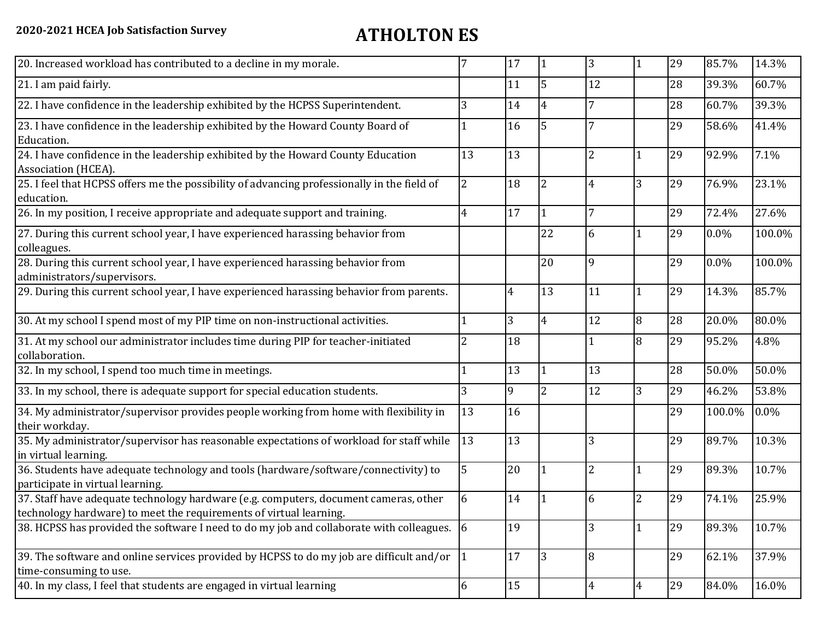| 20. Increased workload has contributed to a decline in my morale.                                                                                          |                | 17              | 11             | 3              | 1              | 29 | 85.7%   | 14.3%  |
|------------------------------------------------------------------------------------------------------------------------------------------------------------|----------------|-----------------|----------------|----------------|----------------|----|---------|--------|
| 21. I am paid fairly.                                                                                                                                      |                | 11              | l5             | 12             |                | 28 | 39.3%   | 60.7%  |
| 22. I have confidence in the leadership exhibited by the HCPSS Superintendent.                                                                             | 3              | 14              | 4              | 7              |                | 28 | 60.7%   | 39.3%  |
| 23. I have confidence in the leadership exhibited by the Howard County Board of<br>Education.                                                              |                | 16              | 5              |                |                | 29 | 58.6%   | 41.4%  |
| 24. I have confidence in the leadership exhibited by the Howard County Education<br>Association (HCEA).                                                    | 13             | 13              |                | $\overline{2}$ |                | 29 | 92.9%   | 7.1%   |
| 25. I feel that HCPSS offers me the possibility of advancing professionally in the field of<br>education.                                                  | $\overline{2}$ | 18              | $\overline{2}$ | 4              | 3              | 29 | 76.9%   | 23.1%  |
| 26. In my position, I receive appropriate and adequate support and training.                                                                               | 4              | 17              | 1              |                |                | 29 | 72.4%   | 27.6%  |
| 27. During this current school year, I have experienced harassing behavior from<br>colleagues.                                                             |                |                 | 22             | 6              | 1              | 29 | $0.0\%$ | 100.0% |
| 28. During this current school year, I have experienced harassing behavior from<br>administrators/supervisors.                                             |                |                 | 20             | 9              |                | 29 | 0.0%    | 100.0% |
| 29. During this current school year, I have experienced harassing behavior from parents.                                                                   |                | $\overline{4}$  | 13             | 11             | $\mathbf{1}$   | 29 | 14.3%   | 85.7%  |
| 30. At my school I spend most of my PIP time on non-instructional activities.                                                                              |                | $\overline{3}$  | $\overline{4}$ | 12             | 8              | 28 | 20.0%   | 80.0%  |
| 31. At my school our administrator includes time during PIP for teacher-initiated<br>collaboration.                                                        |                | 18              |                |                | 8              | 29 | 95.2%   | 4.8%   |
| 32. In my school, I spend too much time in meetings.                                                                                                       |                | 13              | $\mathbf{1}$   | 13             |                | 28 | 50.0%   | 50.0%  |
| 33. In my school, there is adequate support for special education students.                                                                                | 3              | 9               | $\overline{2}$ | 12             | 3              | 29 | 46.2%   | 53.8%  |
| 34. My administrator/supervisor provides people working from home with flexibility in<br>their workday.                                                    | 13             | 16              |                |                |                | 29 | 100.0%  | 0.0%   |
| 35. My administrator/supervisor has reasonable expectations of workload for staff while<br>in virtual learning.                                            | 13             | 13              |                | 3              |                | 29 | 89.7%   | 10.3%  |
| 36. Students have adequate technology and tools (hardware/software/connectivity) to<br>participate in virtual learning.                                    | 5              | 20              |                | $\overline{2}$ | $\mathbf{1}$   | 29 | 89.3%   | 10.7%  |
| 37. Staff have adequate technology hardware (e.g. computers, document cameras, other<br>technology hardware) to meet the requirements of virtual learning. | 6              | 14              |                | 6              | $\overline{2}$ | 29 | 74.1%   | 25.9%  |
| 38. HCPSS has provided the software I need to do my job and collaborate with colleagues. 6                                                                 |                | 19              |                | 3              | 1              | 29 | 89.3%   | 10.7%  |
| 39. The software and online services provided by HCPSS to do my job are difficult and/or<br>time-consuming to use.                                         | 1              | $\overline{17}$ | $ 3\rangle$    | 8              |                | 29 | 62.1%   | 37.9%  |
| 40. In my class, I feel that students are engaged in virtual learning                                                                                      | 6              | 15              |                | 4              | $\overline{4}$ | 29 | 84.0%   | 16.0%  |